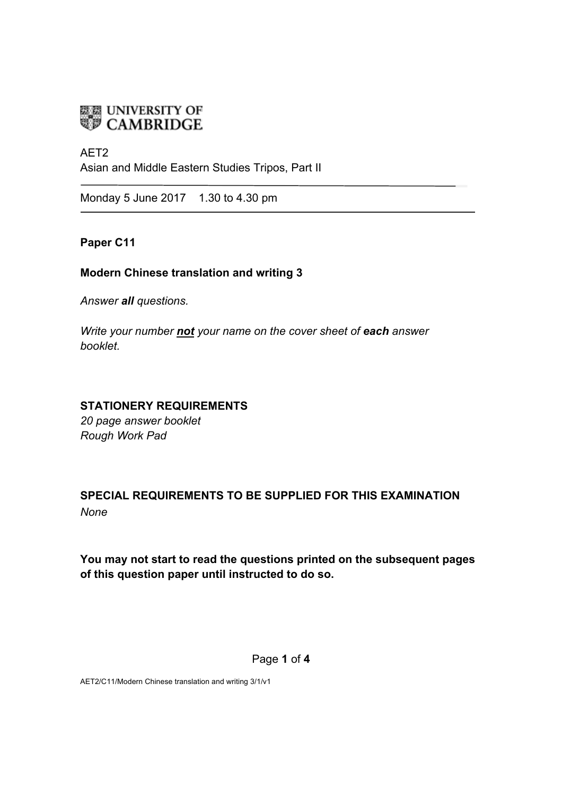# **END** UNIVERSITY OF

#### AET2

Asian and Middle Eastern Studies Tripos, Part II

Monday 5 June 2017 1.30 to 4.30 pm

# **Paper C11**

# **Modern Chinese translation and writing 3**

*Answer all questions.* 

*Write your number not your name on the cover sheet of each answer booklet.* 

# **STATIONERY REQUIREMENTS**

*20 page answer booklet Rough Work Pad*

# **SPECIAL REQUIREMENTS TO BE SUPPLIED FOR THIS EXAMINATION**  *None*

**You may not start to read the questions printed on the subsequent pages of this question paper until instructed to do so.** 

#### Page **1** of **4**

AET2/C11/Modern Chinese translation and writing 3/1/v1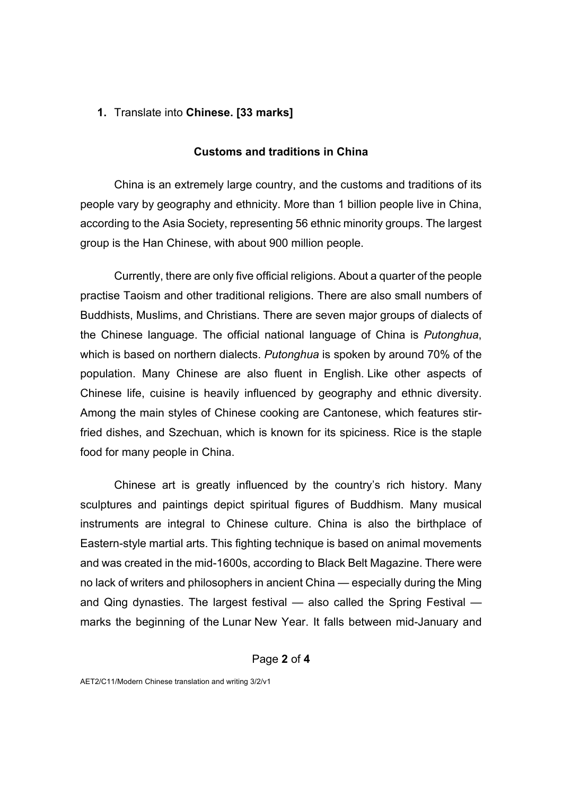#### **1.** Translate into **Chinese. [33 marks]**

#### **Customs and traditions in China**

China is an extremely large country, and the customs and traditions of its people vary by geography and ethnicity. More than 1 billion people live in China, according to the Asia Society, representing 56 ethnic minority groups. The largest group is the Han Chinese, with about 900 million people.

Currently, there are only five official religions. About a quarter of the people practise Taoism and other traditional religions. There are also small numbers of Buddhists, Muslims, and Christians. There are seven major groups of dialects of the Chinese language. The official national language of China is *Putonghua*, which is based on northern dialects. *Putonghua* is spoken by around 70% of the population. Many Chinese are also fluent in English. Like other aspects of Chinese life, cuisine is heavily influenced by geography and ethnic diversity. Among the main styles of Chinese cooking are Cantonese, which features stirfried dishes, and Szechuan, which is known for its spiciness. Rice is the staple food for many people in China.

Chinese art is greatly influenced by the country's rich history. Many sculptures and paintings depict spiritual figures of Buddhism. Many musical instruments are integral to Chinese culture. China is also the birthplace of Eastern-style martial arts. This fighting technique is based on animal movements and was created in the mid-1600s, according to Black Belt Magazine. There were no lack of writers and philosophers in ancient China — especially during the Ming and Qing dynasties. The largest festival — also called the Spring Festival marks the beginning of the Lunar New Year. It falls between mid-January and

#### Page **2** of **4**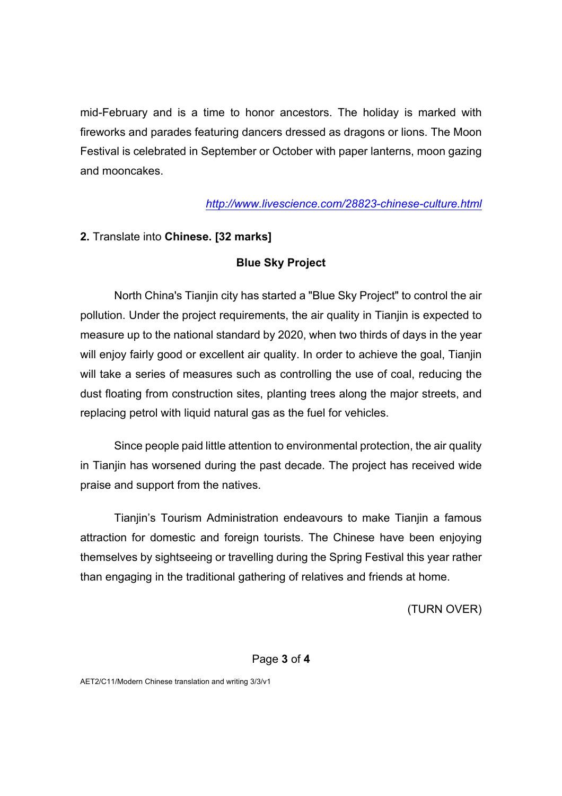mid-February and is a time to honor ancestors. The holiday is marked with fireworks and parades featuring dancers dressed as dragons or lions. The Moon Festival is celebrated in September or October with paper lanterns, moon gazing and mooncakes.

# *http://www.livescience.com/28823-chinese-culture.html*

# **2.** Translate into **Chinese. [32 marks]**

# **Blue Sky Project**

North China's Tianjin city has started a "Blue Sky Project" to control the air pollution. Under the project requirements, the air quality in Tianjin is expected to measure up to the national standard by 2020, when two thirds of days in the year will enjoy fairly good or excellent air quality. In order to achieve the goal, Tianjin will take a series of measures such as controlling the use of coal, reducing the dust floating from construction sites, planting trees along the major streets, and replacing petrol with liquid natural gas as the fuel for vehicles.

Since people paid little attention to environmental protection, the air quality in Tianjin has worsened during the past decade. The project has received wide praise and support from the natives.

Tianjin's Tourism Administration endeavours to make Tianjin a famous attraction for domestic and foreign tourists. The Chinese have been enjoying themselves by sightseeing or travelling during the Spring Festival this year rather than engaging in the traditional gathering of relatives and friends at home.

(TURN OVER)

#### Page **3** of **4**